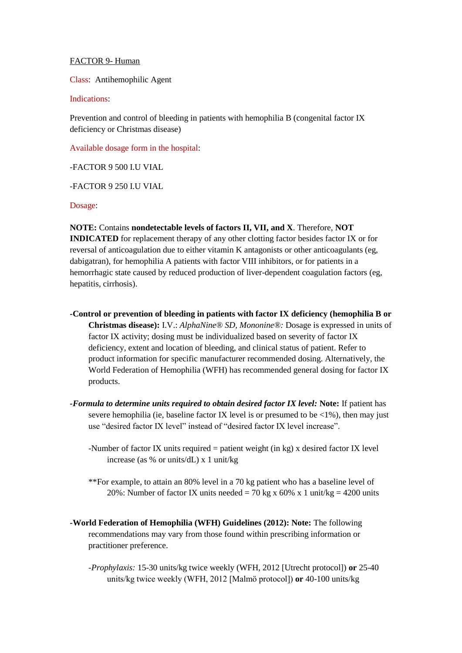## FACTOR 9- Human

Class: Antihemophilic Agent

Indications:

Prevention and control of bleeding in patients with hemophilia B (congenital factor IX deficiency or Christmas disease)

Available dosage form in the hospital:

-FACTOR 9 500 I.U VIAL

-FACTOR 9 250 I.U VIAL

Dosage:

**NOTE:** Contains **nondetectable levels of factors II, VII, and X**. Therefore, **NOT INDICATED** for replacement therapy of any other clotting factor besides factor IX or for reversal of anticoagulation due to either vitamin K antagonists or other anticoagulants (eg, dabigatran), for hemophilia A patients with factor VIII inhibitors, or for patients in a hemorrhagic state caused by reduced production of liver-dependent coagulation factors (eg, hepatitis, cirrhosis).

- **-Control or prevention of bleeding in patients with factor IX deficiency (hemophilia B or Christmas disease):** I.V.: *AlphaNine® SD, Mononine®:* Dosage is expressed in units of factor IX activity; dosing must be individualized based on severity of factor IX deficiency, extent and location of bleeding, and clinical status of patient. Refer to product information for specific manufacturer recommended dosing. Alternatively, the World Federation of Hemophilia (WFH) has recommended general dosing for factor IX products.
- *-Formula to determine units required to obtain desired factor IX level:* **Note:** If patient has severe hemophilia (ie, baseline factor IX level is or presumed to be  $\langle 1\% \rangle$ , then may just use "desired factor IX level" instead of "desired factor IX level increase".

-Number of factor IX units required = patient weight (in kg) x desired factor IX level increase (as % or units/dL) x 1 unit/kg

- \*\*For example, to attain an 80% level in a 70 kg patient who has a baseline level of 20%: Number of factor IX units needed = 70 kg x 60% x 1 unit/kg = 4200 units
- **-World Federation of Hemophilia (WFH) Guidelines (2012): Note:** The following recommendations may vary from those found within prescribing information or practitioner preference.
	- *-Prophylaxis:* 15-30 units/kg twice weekly (WFH, 2012 [Utrecht protocol]) **or** 25-40 units/kg twice weekly (WFH, 2012 [Malmӧ protocol]) **or** 40-100 units/kg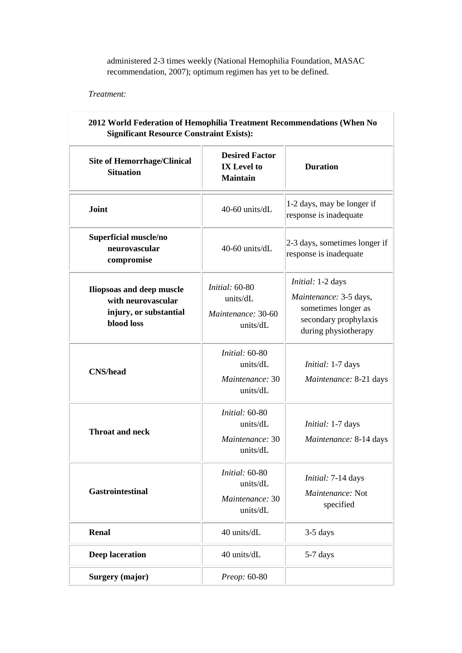administered 2-3 times weekly (National Hemophilia Foundation, MASAC recommendation, 2007); optimum regimen has yet to be defined.

Ī

*Treatment:*

| <b>Site of Hemorrhage/Clinical</b><br><b>Situation</b>                                  | <b>Desired Factor</b><br><b>IX</b> Level to<br><b>Maintain</b>      | <b>Duration</b>                                                                                                     |
|-----------------------------------------------------------------------------------------|---------------------------------------------------------------------|---------------------------------------------------------------------------------------------------------------------|
| Joint                                                                                   | 40-60 units/dL                                                      | 1-2 days, may be longer if<br>response is inadequate                                                                |
| Superficial muscle/no<br>neurovascular<br>compromise                                    | 40-60 units/dL                                                      | 2-3 days, sometimes longer if<br>response is inadequate                                                             |
| Iliopsoas and deep muscle<br>with neurovascular<br>injury, or substantial<br>blood loss | <i>Initial:</i> 60-80<br>units/dL<br>Maintenance: 30-60<br>units/dL | Initial: 1-2 days<br>Maintenance: 3-5 days,<br>sometimes longer as<br>secondary prophylaxis<br>during physiotherapy |
| <b>CNS/head</b>                                                                         | <i>Initial:</i> 60-80<br>units/dL<br>Maintenance: 30<br>units/dL    | Initial: 1-7 days<br>Maintenance: 8-21 days                                                                         |
| <b>Throat and neck</b>                                                                  | <i>Initial:</i> 60-80<br>units/dL<br>Maintenance: 30<br>units/dL    | Initial: 1-7 days<br>Maintenance: 8-14 days                                                                         |
| <b>Gastrointestinal</b>                                                                 | Initial: 60-80<br>units/dL<br>Maintenance: 30<br>units/dL           | Initial: 7-14 days<br>Maintenance: Not<br>specified                                                                 |
| <b>Renal</b>                                                                            | 40 units/dL                                                         | 3-5 days                                                                                                            |
| Deep laceration                                                                         | 40 units/dL                                                         | 5-7 days                                                                                                            |
| <b>Surgery (major)</b>                                                                  | Preop: 60-80                                                        |                                                                                                                     |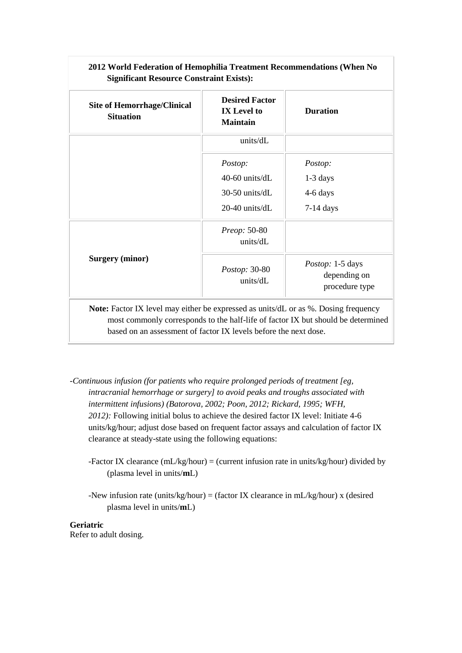| <b>Site of Hemorrhage/Clinical</b><br><b>Situation</b> | <b>Desired Factor</b><br><b>IX</b> Level to<br><b>Maintain</b> | <b>Duration</b>                                    |
|--------------------------------------------------------|----------------------------------------------------------------|----------------------------------------------------|
|                                                        | units/dL                                                       |                                                    |
|                                                        | Postop:                                                        | Postop:                                            |
|                                                        | 40-60 units/dL                                                 | $1-3$ days                                         |
|                                                        | 30-50 units/dL                                                 | 4-6 days                                           |
|                                                        | 20-40 units/dL                                                 | $7-14$ days                                        |
| <b>Surgery (minor)</b>                                 | <i>Preop:</i> 50-80<br>units/dL                                |                                                    |
|                                                        | <i>Postop:</i> 30-80<br>units/dL                               | Postop: 1-5 days<br>depending on<br>procedure type |

**2012 World Federation of Hemophilia Treatment Recommendations (When No** 

*-Continuous infusion (for patients who require prolonged periods of treatment [eg, intracranial hemorrhage or surgery] to avoid peaks and troughs associated with intermittent infusions) (Batorova, 2002; Poon, 2012; Rickard, 1995; WFH, 2012):* Following initial bolus to achieve the desired factor IX level: Initiate 4-6 units/kg/hour; adjust dose based on frequent factor assays and calculation of factor IX clearance at steady-state using the following equations:

based on an assessment of factor IX levels before the next dose.

- -Factor IX clearance  $(mL/kg/hour) = (current infusion rate in units/kg/hour) divided by$ (plasma level in units/**m**L)
- -New infusion rate (units/kg/hour) = (factor IX clearance in mL/kg/hour) x (desired plasma level in units/**m**L)

**Geriatric** Refer to adult dosing.